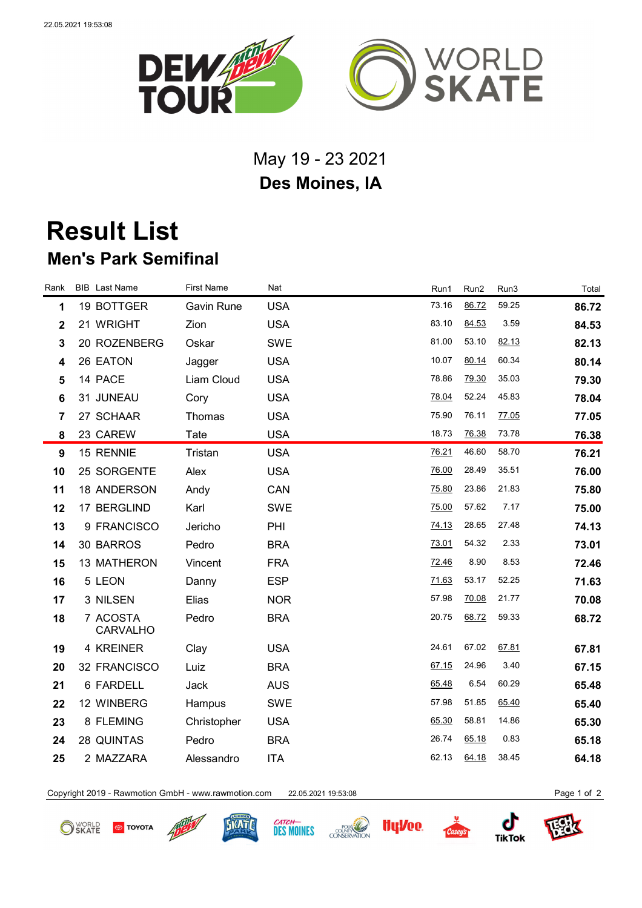

## May 19 - 23 2021 **Des Moines, IA**

## **Result List Men's Park Semifinal**

| Rank                    | <b>BIB</b> Last Name        | <b>First Name</b> | Nat        | Run1  | Run <sub>2</sub> | Run3  | Total |
|-------------------------|-----------------------------|-------------------|------------|-------|------------------|-------|-------|
| 1                       | 19 BOTTGER                  | Gavin Rune        | <b>USA</b> | 73.16 | 86.72            | 59.25 | 86.72 |
| $\overline{\mathbf{2}}$ | 21 WRIGHT                   | Zion              | <b>USA</b> | 83.10 | 84.53            | 3.59  | 84.53 |
| $\mathbf{3}$            | 20 ROZENBERG                | Oskar             | <b>SWE</b> | 81.00 | 53.10            | 82.13 | 82.13 |
| 4                       | 26 EATON                    | Jagger            | <b>USA</b> | 10.07 | 80.14            | 60.34 | 80.14 |
| 5                       | 14 PACE                     | Liam Cloud        | <b>USA</b> | 78.86 | 79.30            | 35.03 | 79.30 |
| 6                       | 31 JUNEAU                   | Cory              | <b>USA</b> | 78.04 | 52.24            | 45.83 | 78.04 |
| $\overline{7}$          | 27 SCHAAR                   | Thomas            | <b>USA</b> | 75.90 | 76.11            | 77.05 | 77.05 |
| 8                       | 23 CAREW                    | Tate              | <b>USA</b> | 18.73 | 76.38            | 73.78 | 76.38 |
| 9                       | 15 RENNIE                   | Tristan           | <b>USA</b> | 76.21 | 46.60            | 58.70 | 76.21 |
| 10                      | 25 SORGENTE                 | Alex              | <b>USA</b> | 76.00 | 28.49            | 35.51 | 76.00 |
| 11                      | 18 ANDERSON                 | Andy              | CAN        | 75.80 | 23.86            | 21.83 | 75.80 |
| 12                      | 17 BERGLIND                 | Karl              | <b>SWE</b> | 75.00 | 57.62            | 7.17  | 75.00 |
| 13                      | 9 FRANCISCO                 | Jericho           | PHI        | 74.13 | 28.65            | 27.48 | 74.13 |
| 14                      | 30 BARROS                   | Pedro             | <b>BRA</b> | 73.01 | 54.32            | 2.33  | 73.01 |
| 15                      | 13 MATHERON                 | Vincent           | <b>FRA</b> | 72.46 | 8.90             | 8.53  | 72.46 |
| 16                      | 5 LEON                      | Danny             | <b>ESP</b> | 71.63 | 53.17            | 52.25 | 71.63 |
| 17                      | 3 NILSEN                    | Elias             | <b>NOR</b> | 57.98 | 70.08            | 21.77 | 70.08 |
| 18                      | 7 ACOSTA<br><b>CARVALHO</b> | Pedro             | <b>BRA</b> | 20.75 | 68.72            | 59.33 | 68.72 |
| 19                      | 4 KREINER                   | Clay              | <b>USA</b> | 24.61 | 67.02            | 67.81 | 67.81 |
| 20                      | 32 FRANCISCO                | Luiz              | <b>BRA</b> | 67.15 | 24.96            | 3.40  | 67.15 |
| 21                      | 6 FARDELL                   | Jack              | <b>AUS</b> | 65.48 | 6.54             | 60.29 | 65.48 |
| 22                      | 12 WINBERG                  | Hampus            | <b>SWE</b> | 57.98 | 51.85            | 65.40 | 65.40 |
| 23                      | 8 FLEMING                   | Christopher       | <b>USA</b> | 65.30 | 58.81            | 14.86 | 65.30 |
| 24                      | 28 QUINTAS                  | Pedro             | <b>BRA</b> | 26.74 | 65.18            | 0.83  | 65.18 |
| 25                      | 2 MAZZARA                   | Alessandro        | <b>ITA</b> | 62.13 | 64.18            | 38.45 | 64.18 |
|                         |                             |                   |            |       |                  |       |       |

Copyright 2019 - Rawmotion GmbH - www.rawmotion.com 22.05.2021 19:53:08 Page 1 of 2